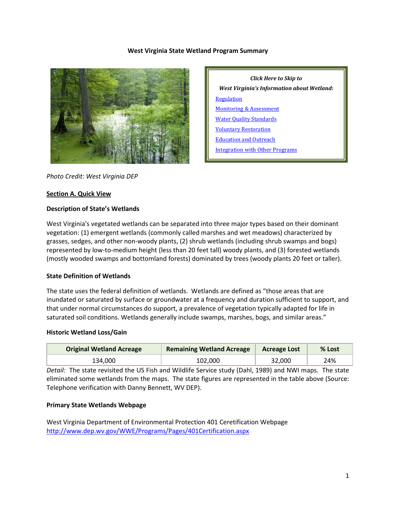## **West Virginia State Wetland Program Summary**



*Click Here to Skip to West Virginia's Information about Wetland:* **[Regulation](#page-2-0)** [Monitoring & Assessment](#page-4-0) [Water Quality Standards](#page-7-0) [Voluntary Restoration](#page-8-0) [Education and Outreach](#page-9-0) [Integration with Other Programs](#page-9-1)

*Photo Credit: West Virginia DEP*

#### **Section A. Quick View**

#### **Description of State's Wetlands**

West Virginia's vegetated wetlands can be separated into three major types based on their dominant vegetation: (1) emergent wetlands (commonly called marshes and wet meadows) characterized by grasses, sedges, and other non-woody plants, (2) shrub wetlands (including shrub swamps and bogs) represented by low-to-medium height (less than 20 feet tall) woody plants, and (3) forested wetlands (mostly wooded swamps and bottomland forests) dominated by trees (woody plants 20 feet or taller).

## **State Definition of Wetlands**

The state uses the federal definition of wetlands. Wetlands are defined as "those areas that are inundated or saturated by surface or groundwater at a frequency and duration sufficient to support, and that under normal circumstances do support, a prevalence of vegetation typically adapted for life in saturated soil conditions. Wetlands generally include swamps, marshes, bogs, and similar areas."

#### **Historic Wetland Loss/Gain**

| <b>Original Wetland Acreage</b> | <b>Remaining Wetland Acreage</b> | <b>Acreage Lost</b> | % Lost |
|---------------------------------|----------------------------------|---------------------|--------|
| 134.000                         | 102.000                          | 32.000              | 24%    |

*Detail:* The state revisited the US Fish and Wildlife Service study (Dahl, 1989) and NWI maps. The state eliminated some wetlands from the maps. The state figures are represented in the table above (Source: Telephone verification with Danny Bennett, WV DEP).

## **Primary State Wetlands Webpage**

West Virginia Department of Environmental Protection 401 Ceretification Webpage <http://www.dep.wv.gov/WWE/Programs/Pages/401Certification.aspx>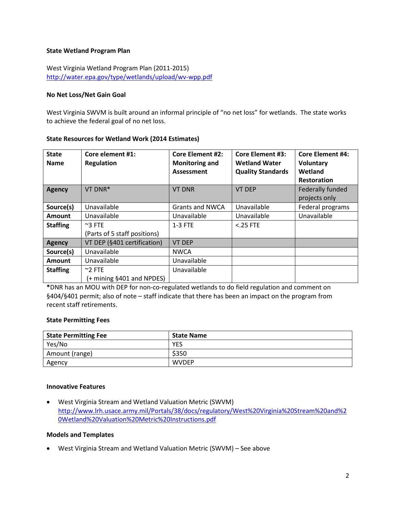## **State Wetland Program Plan**

West Virginia Wetland Program Plan (2011-2015) <http://water.epa.gov/type/wetlands/upload/wv-wpp.pdf>

## **No Net Loss/Net Gain Goal**

West Virginia SWVM is built around an informal principle of "no net loss" for wetlands. The state works to achieve the federal goal of no net loss.

# **State Resources for Wetland Work (2014 Estimates)**

| <b>State</b><br><b>Name</b> | Core element #1:<br><b>Regulation</b> | <b>Core Element #2:</b><br><b>Monitoring and</b><br><b>Assessment</b> | <b>Core Element #3:</b><br><b>Wetland Water</b><br><b>Quality Standards</b> | <b>Core Element #4:</b><br><b>Voluntary</b><br>Wetland<br><b>Restoration</b> |
|-----------------------------|---------------------------------------|-----------------------------------------------------------------------|-----------------------------------------------------------------------------|------------------------------------------------------------------------------|
| Agency                      | VT DNR*                               | <b>VT DNR</b>                                                         | <b>VT DEP</b>                                                               | Federally funded                                                             |
|                             |                                       |                                                                       |                                                                             | projects only                                                                |
| Source(s)                   | Unavailable                           | Grants and NWCA                                                       | Unavailable                                                                 | Federal programs                                                             |
| Amount                      | Unavailable                           | Unavailable                                                           | Unavailable                                                                 | Unavailable                                                                  |
| <b>Staffing</b>             | $~\sim$ 3 FTE                         | 1-3 FTE                                                               | $<$ .25 FTE                                                                 |                                                                              |
|                             | (Parts of 5 staff positions)          |                                                                       |                                                                             |                                                                              |
| <b>Agency</b>               | VT DEP (§401 certification)           | <b>VT DEP</b>                                                         |                                                                             |                                                                              |
| Source(s)                   | Unavailable                           | <b>NWCA</b>                                                           |                                                                             |                                                                              |
| <b>Amount</b>               | Unavailable                           | Unavailable                                                           |                                                                             |                                                                              |
| <b>Staffing</b>             | $~^{\sim}$ 2 FTE                      | Unavailable                                                           |                                                                             |                                                                              |
|                             | (+ mining §401 and NPDES)             |                                                                       |                                                                             |                                                                              |

**\***DNR has an MOU with DEP for non-co-regulated wetlands to do field regulation and comment on §404/§401 permit; also of note – staff indicate that there has been an impact on the program from recent staff retirements.

## **State Permitting Fees**

| <b>State Permitting Fee</b> | <b>State Name</b> |
|-----------------------------|-------------------|
| Yes/No                      | YES               |
| Amount (range)              | \$350             |
| Agency                      | <b>WVDEP</b>      |

### **Innovative Features**

• West Virginia Stream and Wetland Valuation Metric (SWVM) [http://www.lrh.usace.army.mil/Portals/38/docs/regulatory/West%20Virginia%20Stream%20and%2](http://www.lrh.usace.army.mil/Portals/38/docs/regulatory/West%20Virginia%20Stream%20and%20Wetland%20Valuation%20Metric%20Instructions.pdf) [0Wetland%20Valuation%20Metric%20Instructions.pdf](http://www.lrh.usace.army.mil/Portals/38/docs/regulatory/West%20Virginia%20Stream%20and%20Wetland%20Valuation%20Metric%20Instructions.pdf)

## **Models and Templates**

• West Virginia Stream and Wetland Valuation Metric (SWVM) – See above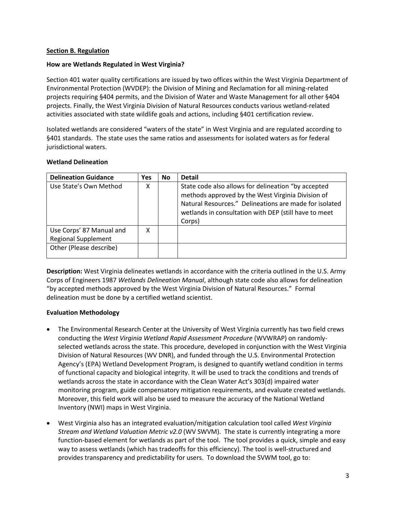## <span id="page-2-0"></span>**Section B. Regulation**

## **How are Wetlands Regulated in West Virginia?**

Section 401 water quality certifications are issued by two offices within the West Virginia Department of Environmental Protection (WVDEP): the Division of Mining and Reclamation for all mining-related projects requiring §404 permits, and the Division of Water and Waste Management for all other §404 projects. Finally, the West Virginia Division of Natural Resources conducts various wetland-related activities associated with state wildlife goals and actions, including §401 certification review.

Isolated wetlands are considered "waters of the state" in West Virginia and are regulated according to §401 standards. The state uses the same ratios and assessments for isolated waters as for federal jurisdictional waters.

## **Wetland Delineation**

| <b>Delineation Guidance</b> | <b>Yes</b> | <b>No</b> | <b>Detail</b>                                                                                                                                                                                                                         |
|-----------------------------|------------|-----------|---------------------------------------------------------------------------------------------------------------------------------------------------------------------------------------------------------------------------------------|
| Use State's Own Method      | χ          |           | State code also allows for delineation "by accepted<br>methods approved by the West Virginia Division of<br>Natural Resources." Delineations are made for isolated<br>wetlands in consultation with DEP (still have to meet<br>Corps) |
| Use Corps' 87 Manual and    | х          |           |                                                                                                                                                                                                                                       |
| <b>Regional Supplement</b>  |            |           |                                                                                                                                                                                                                                       |
| Other (Please describe)     |            |           |                                                                                                                                                                                                                                       |

**Description:** West Virginia delineates wetlands in accordance with the criteria outlined in the U.S. Army Corps of Engineers 1987 *Wetlands Delineation Manual*, although state code also allows for delineation "by accepted methods approved by the West Virginia Division of Natural Resources." Formal delineation must be done by a certified wetland scientist.

## **Evaluation Methodology**

- The Environmental Research Center at the University of West Virginia currently has two field crews conducting the *West Virginia Wetland Rapid Assessment Procedure* (WVWRAP) on randomlyselected wetlands across the state. This procedure, developed in conjunction with the West Virginia Division of Natural Resources (WV DNR), and funded through the U.S. Environmental Protection Agency's (EPA) Wetland Development Program, is designed to quantify wetland condition in terms of functional capacity and biological integrity. It will be used to track the conditions and trends of wetlands across the state in accordance with the Clean Water Act's 303(d) impaired water monitoring program, guide compensatory mitigation requirements, and evaluate created wetlands. Moreover, this field work will also be used to measure the accuracy of the National Wetland Inventory (NWI) maps in West Virginia.
- West Virginia also has an integrated evaluation/mitigation calculation tool called *West Virginia Stream and Wetland Valuation Metric v2.0* (WV SWVM). The state is currently integrating a more function-based element for wetlands as part of the tool. The tool provides a quick, simple and easy way to assess wetlands (which has tradeoffs for this efficiency). The tool is well-structured and provides transparency and predictability for users. To download the SVWM tool, go to: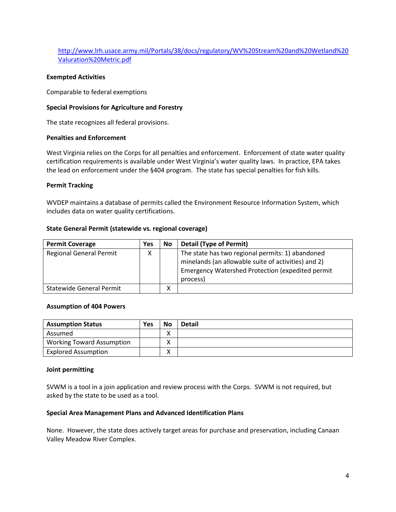[http://www.lrh.usace.army.mil/Portals/38/docs/regulatory/WV%20Stream%20and%20Wetland%20](http://www.lrh.usace.army.mil/Portals/38/docs/regulatory/WV%20Stream%20and%20Wetland%20Valuration%20Metric.pdf) [Valuration%20Metric.pdf](http://www.lrh.usace.army.mil/Portals/38/docs/regulatory/WV%20Stream%20and%20Wetland%20Valuration%20Metric.pdf)

### **Exempted Activities**

Comparable to federal exemptions

### **Special Provisions for Agriculture and Forestry**

The state recognizes all federal provisions.

### **Penalties and Enforcement**

West Virginia relies on the Corps for all penalties and enforcement. Enforcement of state water quality certification requirements is available under West Virginia's water quality laws. In practice, EPA takes the lead on enforcement under the §404 program. The state has special penalties for fish kills.

### **Permit Tracking**

WVDEP maintains a database of permits called the Environment Resource Information System, which includes data on water quality certifications.

### **State General Permit (statewide vs. regional coverage)**

| <b>Permit Coverage</b>          | <b>Yes</b> | No | <b>Detail (Type of Permit)</b>                                                                                                                                                 |
|---------------------------------|------------|----|--------------------------------------------------------------------------------------------------------------------------------------------------------------------------------|
| <b>Regional General Permit</b>  | x          |    | The state has two regional permits: 1) abandoned<br>minelands (an allowable suite of activities) and 2)<br><b>Emergency Watershed Protection (expedited permit</b><br>process) |
| <b>Statewide General Permit</b> |            |    |                                                                                                                                                                                |

#### **Assumption of 404 Powers**

| <b>Assumption Status</b>         | Yes | <b>No</b> | <b>Detail</b> |
|----------------------------------|-----|-----------|---------------|
| Assumed                          |     |           |               |
| <b>Working Toward Assumption</b> |     |           |               |
| <b>Explored Assumption</b>       |     |           |               |

#### **Joint permitting**

SVWM is a tool in a join application and review process with the Corps. SVWM is not required, but asked by the state to be used as a tool.

#### **Special Area Management Plans and Advanced Identification Plans**

None. However, the state does actively target areas for purchase and preservation, including Canaan Valley Meadow River Complex.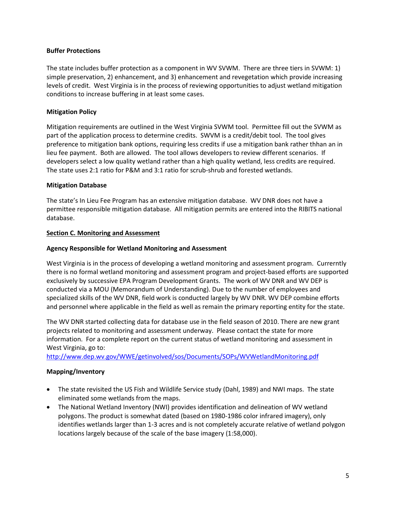## **Buffer Protections**

The state includes buffer protection as a component in WV SVWM. There are three tiers in SVWM: 1) simple preservation, 2) enhancement, and 3) enhancement and revegetation which provide increasing levels of credit. West Virginia is in the process of reviewing opportunities to adjust wetland mitigation conditions to increase buffering in at least some cases.

# **Mitigation Policy**

Mitigation requirements are outlined in the West Virginia SVWM tool. Permittee fill out the SVWM as part of the application process to determine credits. SWVM is a credit/debit tool. The tool gives preference to mitigation bank options, requiring less credits if use a mitigation bank rather thhan an in lieu fee payment. Both are allowed. The tool allows developers to review different scenarios. If developers select a low quality wetland rather than a high quality wetland, less credits are required. The state uses 2:1 ratio for P&M and 3:1 ratio for scrub-shrub and forested wetlands.

# **Mitigation Database**

The state's In Lieu Fee Program has an extensive mitigation database. WV DNR does not have a permittee responsible mitigation database. All mitigation permits are entered into the RIBITS national database.

# <span id="page-4-0"></span>**Section C. Monitoring and Assessment**

# **Agency Responsible for Wetland Monitoring and Assessment**

West Virginia is in the process of developing a wetland monitoring and assessment program. Currerntly there is no formal wetland monitoring and assessment program and project-based efforts are supported exclusively by successive EPA Program Development Grants. The work of WV DNR and WV DEP is conducted via a MOU (Memorandum of Understanding). Due to the number of employees and specialized skills of the WV DNR, field work is conducted largely by WV DNR. WV DEP combine efforts and personnel where applicable in the field as well as remain the primary reporting entity for the state.

The WV DNR started collecting data for database use in the field season of 2010. There are new grant projects related to monitoring and assessment underway. Please contact the state for more information. For a complete report on the current status of wetland monitoring and assessment in West Virginia, go to:

<http://www.dep.wv.gov/WWE/getinvolved/sos/Documents/SOPs/WVWetlandMonitoring.pdf>

# **Mapping/Inventory**

- The state revisited the US Fish and Wildlife Service study (Dahl, 1989) and NWI maps. The state eliminated some wetlands from the maps.
- The National Wetland Inventory (NWI) provides identification and delineation of WV wetland polygons. The product is somewhat dated (based on 1980-1986 color infrared imagery), only identifies wetlands larger than 1-3 acres and is not completely accurate relative of wetland polygon locations largely because of the scale of the base imagery (1:58,000).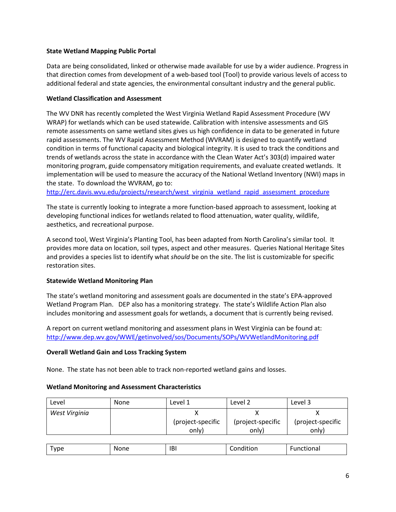# **State Wetland Mapping Public Portal**

Data are being consolidated, linked or otherwise made available for use by a wider audience. Progress in that direction comes from development of a web-based tool (Tool) to provide various levels of access to additional federal and state agencies, the environmental consultant industry and the general public.

## **Wetland Classification and Assessment**

The WV DNR has recently completed the West Virginia Wetland Rapid Assessment Procedure (WV WRAP) for wetlands which can be used statewide. Calibration with intensive assessments and GIS remote assessments on same wetland sites gives us high confidence in data to be generated in future rapid assessments. The WV Rapid Assessment Method (WVRAM) is designed to quantify wetland condition in terms of functional capacity and biological integrity. It is used to track the conditions and trends of wetlands across the state in accordance with the Clean Water Act's 303(d) impaired water monitoring program, guide compensatory mitigation requirements, and evaluate created wetlands. It implementation will be used to measure the accuracy of the National Wetland Inventory (NWI) maps in the state. To download the WVRAM, go to:

[http://erc.davis.wvu.edu/projects/research/west\\_virginia\\_wetland\\_rapid\\_assessment\\_procedure](http://erc.davis.wvu.edu/projects/research/west_virginia_wetland_rapid_assessment_procedure)

The state is currently looking to integrate a more function-based approach to assessment, looking at developing functional indices for wetlands related to flood attenuation, water quality, wildlife, aesthetics, and recreational purpose.

A second tool, West Virginia's Planting Tool, has been adapted from North Carolina's similar tool. It provides more data on location, soil types, aspect and other measures. Queries National Heritage Sites and provides a species list to identify what *should* be on the site. The list is customizable for specific restoration sites.

# **Statewide Wetland Monitoring Plan**

The state's wetland monitoring and assessment goals are documented in the state's EPA-approved Wetland Program Plan. DEP also has a monitoring strategy. The state's Wildlife Action Plan also includes monitoring and assessment goals for wetlands, a document that is currently being revised.

A report on current wetland monitoring and assessment plans in West Virginia can be found at: <http://www.dep.wv.gov/WWE/getinvolved/sos/Documents/SOPs/WVWetlandMonitoring.pdf>

# **Overall Wetland Gain and Loss Tracking System**

None. The state has not been able to track non-reported wetland gains and losses.

## **Wetland Monitoring and Assessment Characteristics**

| Level         | None | Level 1           | Level 2           | Level 3           |
|---------------|------|-------------------|-------------------|-------------------|
| West Virginia |      |                   |                   |                   |
|               |      | (project-specific | (project-specific | (project-specific |
|               |      | only)             | only)             | only)             |
|               |      |                   |                   |                   |

| <br>$\sim$ $\sim$<br>vne<br>.<br>. . | w.<br>,,,,<br><b>VIIL</b> | IB <sub>I</sub> | . .<br>____ | ldi<br>____ |
|--------------------------------------|---------------------------|-----------------|-------------|-------------|
|--------------------------------------|---------------------------|-----------------|-------------|-------------|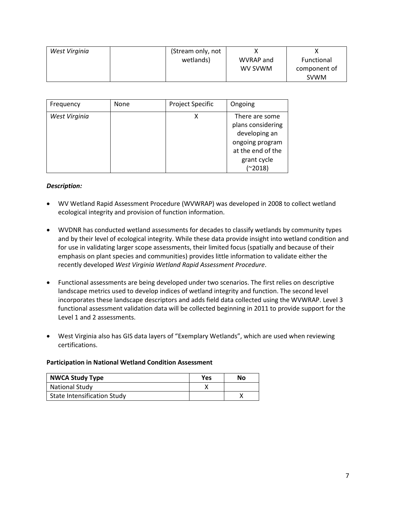| West Virginia | (Stream only, not |           |              |
|---------------|-------------------|-----------|--------------|
|               | wetlands)         | WVRAP and | Functional   |
|               |                   | WV SVWM   | component of |
|               |                   |           | <b>SVWM</b>  |

| Frequency     | None | <b>Project Specific</b> | Ongoing                                                                                                                  |
|---------------|------|-------------------------|--------------------------------------------------------------------------------------------------------------------------|
| West Virginia |      |                         | There are some<br>plans considering<br>developing an<br>ongoing program<br>at the end of the<br>grant cycle<br>$(*2018)$ |

## *Description:*

- WV Wetland Rapid Assessment Procedure (WVWRAP) was developed in 2008 to collect wetland ecological integrity and provision of function information.
- WVDNR has conducted wetland assessments for decades to classify wetlands by community types and by their level of ecological integrity. While these data provide insight into wetland condition and for use in validating larger scope assessments, their limited focus (spatially and because of their emphasis on plant species and communities) provides little information to validate either the recently developed *West Virginia Wetland Rapid Assessment Procedure*.
- Functional assessments are being developed under two scenarios. The first relies on descriptive landscape metrics used to develop indices of wetland integrity and function. The second level incorporates these landscape descriptors and adds field data collected using the WVWRAP. Level 3 functional assessment validation data will be collected beginning in 2011 to provide support for the Level 1 and 2 assessments.
- West Virginia also has GIS data layers of "Exemplary Wetlands", which are used when reviewing certifications.

## **Participation in National Wetland Condition Assessment**

| <b>NWCA Study Type</b>             | Yes | Nο |
|------------------------------------|-----|----|
| <b>National Study</b>              |     |    |
| <b>State Intensification Study</b> |     |    |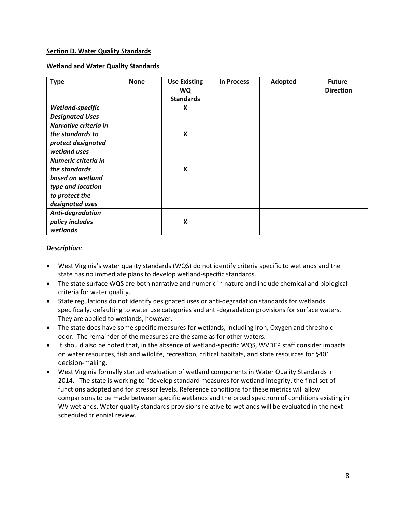## <span id="page-7-0"></span>**Section D. Water Quality Standards**

### **Wetland and Water Quality Standards**

| <b>Type</b>            | <b>None</b> | <b>Use Existing</b><br><b>WQ</b><br><b>Standards</b> | <b>In Process</b> | Adopted | <b>Future</b><br><b>Direction</b> |
|------------------------|-------------|------------------------------------------------------|-------------------|---------|-----------------------------------|
| Wetland-specific       |             | X                                                    |                   |         |                                   |
| <b>Designated Uses</b> |             |                                                      |                   |         |                                   |
| Narrative criteria in  |             |                                                      |                   |         |                                   |
| the standards to       |             | X                                                    |                   |         |                                   |
| protect designated     |             |                                                      |                   |         |                                   |
| wetland uses           |             |                                                      |                   |         |                                   |
| Numeric criteria in    |             |                                                      |                   |         |                                   |
| the standards          |             | X                                                    |                   |         |                                   |
| based on wetland       |             |                                                      |                   |         |                                   |
| type and location      |             |                                                      |                   |         |                                   |
| to protect the         |             |                                                      |                   |         |                                   |
| designated uses        |             |                                                      |                   |         |                                   |
| Anti-degradation       |             |                                                      |                   |         |                                   |
| policy includes        |             | $\boldsymbol{X}$                                     |                   |         |                                   |
| wetlands               |             |                                                      |                   |         |                                   |

### *Description:*

- West Virginia's water quality standards (WQS) do not identify criteria specific to wetlands and the state has no immediate plans to develop wetland-specific standards.
- The state surface WQS are both narrative and numeric in nature and include chemical and biological criteria for water quality.
- State regulations do not identify designated uses or anti-degradation standards for wetlands specifically, defaulting to water use categories and anti-degradation provisions for surface waters. They are applied to wetlands, however.
- The state does have some specific measures for wetlands, including Iron, Oxygen and threshold odor. The remainder of the measures are the same as for other waters.
- It should also be noted that, in the absence of wetland-specific WQS, WVDEP staff consider impacts on water resources, fish and wildlife, recreation, critical habitats, and state resources for §401 decision-making.
- West Virginia formally started evaluation of wetland components in Water Quality Standards in 2014. The state is working to "develop standard measures for wetland integrity, the final set of functions adopted and for stressor levels. Reference conditions for these metrics will allow comparisons to be made between specific wetlands and the broad spectrum of conditions existing in WV wetlands. Water quality standards provisions relative to wetlands will be evaluated in the next scheduled triennial review.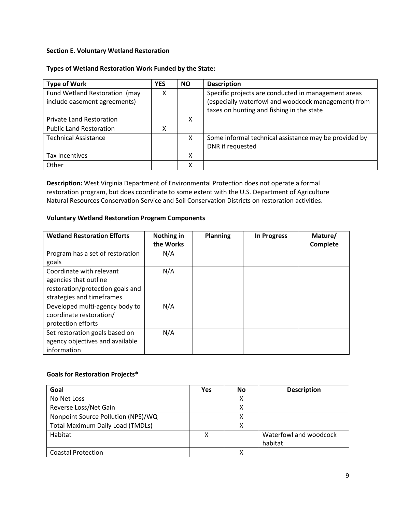# <span id="page-8-0"></span>**Section E. Voluntary Wetland Restoration**

## **Types of Wetland Restoration Work Funded by the State:**

| <b>Type of Work</b>                                           | <b>YES</b> | <b>NO</b> | <b>Description</b>                                                                                                                                      |
|---------------------------------------------------------------|------------|-----------|---------------------------------------------------------------------------------------------------------------------------------------------------------|
| Fund Wetland Restoration (may<br>include easement agreements) | x          |           | Specific projects are conducted in management areas<br>(especially waterfowl and woodcock management) from<br>taxes on hunting and fishing in the state |
| <b>Private Land Restoration</b>                               |            | х         |                                                                                                                                                         |
| <b>Public Land Restoration</b>                                | χ          |           |                                                                                                                                                         |
| <b>Technical Assistance</b>                                   |            | X         | Some informal technical assistance may be provided by<br>DNR if requested                                                                               |
| <b>Tax Incentives</b>                                         |            | x         |                                                                                                                                                         |
| Other                                                         |            | x         |                                                                                                                                                         |

**Description:** West Virginia Department of Environmental Protection does not operate a formal restoration program, but does coordinate to some extent with the U.S. Department of Agriculture Natural Resources Conservation Service and Soil Conservation Districts on restoration activities.

## **Voluntary Wetland Restoration Program Components**

| <b>Wetland Restoration Efforts</b>                                                                                 | Nothing in<br>the Works | <b>Planning</b> | <b>In Progress</b> | Mature/<br>Complete |
|--------------------------------------------------------------------------------------------------------------------|-------------------------|-----------------|--------------------|---------------------|
| Program has a set of restoration<br>goals                                                                          | N/A                     |                 |                    |                     |
| Coordinate with relevant<br>agencies that outline<br>restoration/protection goals and<br>strategies and timeframes | N/A                     |                 |                    |                     |
| Developed multi-agency body to<br>coordinate restoration/<br>protection efforts                                    | N/A                     |                 |                    |                     |
| Set restoration goals based on<br>agency objectives and available<br>information                                   | N/A                     |                 |                    |                     |

# **Goals for Restoration Projects\***

| Goal                                    | Yes | No | <b>Description</b>     |
|-----------------------------------------|-----|----|------------------------|
| No Net Loss                             |     | X  |                        |
| Reverse Loss/Net Gain                   |     |    |                        |
| Nonpoint Source Pollution (NPS)/WQ      |     | χ  |                        |
| <b>Total Maximum Daily Load (TMDLs)</b> |     | χ  |                        |
| Habitat                                 |     |    | Waterfowl and woodcock |
|                                         |     |    | habitat                |
| <b>Coastal Protection</b>               |     |    |                        |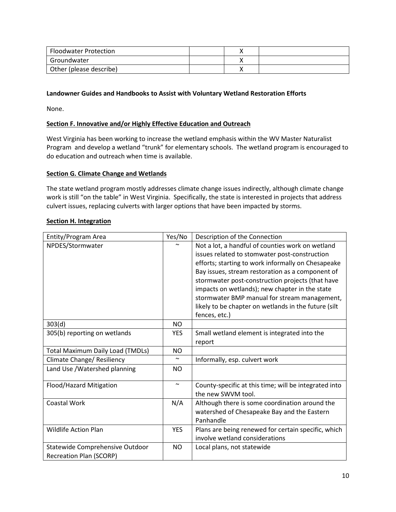| <b>Floodwater Protection</b> |  |  |
|------------------------------|--|--|
| Groundwater                  |  |  |
| Other (please describe)      |  |  |

# **Landowner Guides and Handbooks to Assist with Voluntary Wetland Restoration Efforts**

None.

# <span id="page-9-0"></span>**Section F. Innovative and/or Highly Effective Education and Outreach**

West Virginia has been working to increase the wetland emphasis within the WV Master Naturalist Program and develop a wetland "trunk" for elementary schools. The wetland program is encouraged to do education and outreach when time is available.

## **Section G. Climate Change and Wetlands**

The state wetland program mostly addresses climate change issues indirectly, although climate change work is still "on the table" in West Virginia. Specifically, the state is interested in projects that address culvert issues, replacing culverts with larger options that have been impacted by storms.

### <span id="page-9-1"></span>**Section H. Integration**

| Entity/Program Area                     | Yes/No                | Description of the Connection                         |
|-----------------------------------------|-----------------------|-------------------------------------------------------|
| NPDES/Stormwater                        |                       | Not a lot, a handful of counties work on wetland      |
|                                         |                       | issues related to stomwater post-construction         |
|                                         |                       | efforts; starting to work informally on Chesapeake    |
|                                         |                       | Bay issues, stream restoration as a component of      |
|                                         |                       | stormwater post-construction projects (that have      |
|                                         |                       | impacts on wetlands); new chapter in the state        |
|                                         |                       | stormwater BMP manual for stream management,          |
|                                         |                       | likely to be chapter on wetlands in the future (silt  |
|                                         |                       | fences, etc.)                                         |
| 303(d)                                  | <b>NO</b>             |                                                       |
| 305(b) reporting on wetlands            | <b>YES</b>            | Small wetland element is integrated into the          |
|                                         |                       | report                                                |
| <b>Total Maximum Daily Load (TMDLs)</b> | <b>NO</b>             |                                                       |
| Climate Change/ Resiliency              | $\tilde{\phantom{a}}$ | Informally, esp. culvert work                         |
| Land Use / Watershed planning           | NO.                   |                                                       |
| Flood/Hazard Mitigation                 | $\tilde{\phantom{a}}$ | County-specific at this time; will be integrated into |
|                                         |                       | the new SWVM tool.                                    |
| <b>Coastal Work</b>                     | N/A                   | Although there is some coordination around the        |
|                                         |                       | watershed of Chesapeake Bay and the Eastern           |
|                                         |                       | Panhandle                                             |
| <b>Wildlife Action Plan</b>             | <b>YES</b>            | Plans are being renewed for certain specific, which   |
|                                         |                       | involve wetland considerations                        |
| Statewide Comprehensive Outdoor         | <b>NO</b>             | Local plans, not statewide                            |
| <b>Recreation Plan (SCORP)</b>          |                       |                                                       |